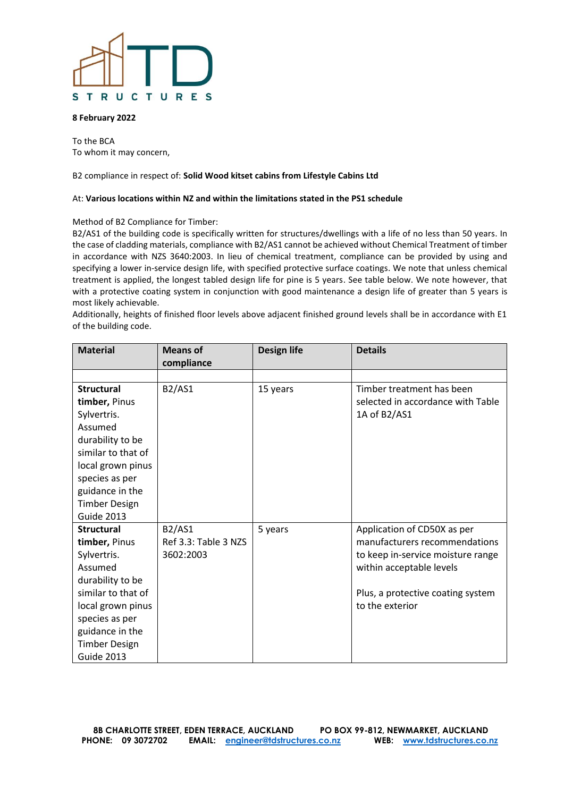# R U C TURES S т

#### **8 February 2022**

To the BCA To whom it may concern,

### B2 compliance in respect of: **Solid Wood kitset cabins from Lifestyle Cabins Ltd**

#### At: **Various locations within NZ and within the limitations stated in the PS1 schedule**

#### Method of B2 Compliance for Timber:

B2/AS1 of the building code is specifically written for structures/dwellings with a life of no less than 50 years. In the case of cladding materials, compliance with B2/AS1 cannot be achieved without Chemical Treatment of timber in accordance with NZS 3640:2003. In lieu of chemical treatment, compliance can be provided by using and specifying a lower in-service design life, with specified protective surface coatings. We note that unless chemical treatment is applied, the longest tabled design life for pine is 5 years. See table below. We note however, that with a protective coating system in conjunction with good maintenance a design life of greater than 5 years is most likely achievable.

Additionally, heights of finished floor levels above adjacent finished ground levels shall be in accordance with E1 of the building code.

| <b>Material</b>                                                                                                                                                                                               | <b>Means of</b><br>compliance                      | <b>Design life</b> | <b>Details</b>                                                                                                                                                                        |
|---------------------------------------------------------------------------------------------------------------------------------------------------------------------------------------------------------------|----------------------------------------------------|--------------------|---------------------------------------------------------------------------------------------------------------------------------------------------------------------------------------|
|                                                                                                                                                                                                               |                                                    |                    |                                                                                                                                                                                       |
| <b>Structural</b><br>timber, Pinus<br>Sylvertris.<br>Assumed<br>durability to be<br>similar to that of<br>local grown pinus<br>species as per<br>guidance in the<br><b>Timber Design</b><br><b>Guide 2013</b> | <b>B2/AS1</b>                                      | 15 years           | Timber treatment has been<br>selected in accordance with Table<br>1A of B2/AS1                                                                                                        |
| <b>Structural</b><br>timber, Pinus<br>Sylvertris.<br>Assumed<br>durability to be<br>similar to that of<br>local grown pinus<br>species as per<br>guidance in the<br><b>Timber Design</b><br><b>Guide 2013</b> | <b>B2/AS1</b><br>Ref 3.3: Table 3 NZS<br>3602:2003 | 5 years            | Application of CD50X as per<br>manufacturers recommendations<br>to keep in-service moisture range<br>within acceptable levels<br>Plus, a protective coating system<br>to the exterior |